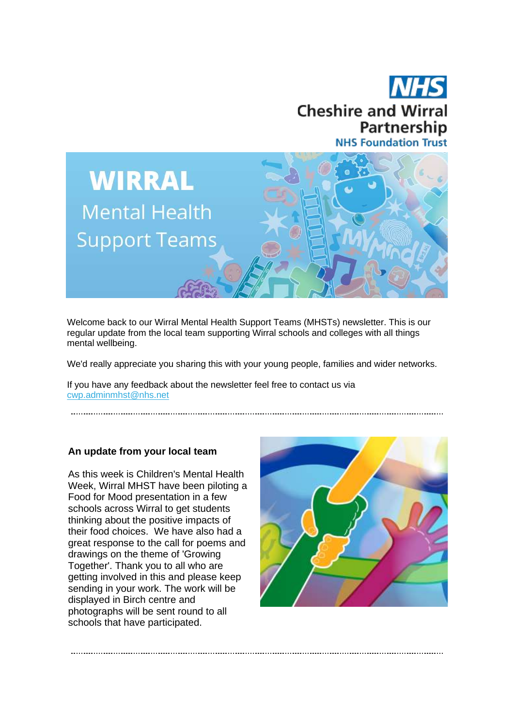



Welcome back to our Wirral Mental Health Support Teams (MHSTs) newsletter. This is our regular update from the local team supporting Wirral schools and colleges with all things mental wellbeing.

We'd really appreciate you sharing this with your young people, families and wider networks.

If you have any feedback about the newsletter feel free to contact us via [cwp.adminmhst@nhs.net](mailto:cwp.adminmhst@nhs.net)

# **An update from your local team**

As this week is Children's Mental Health Week, Wirral MHST have been piloting a Food for Mood presentation in a few schools across Wirral to get students thinking about the positive impacts of their food choices. We have also had a great response to the call for poems and drawings on the theme of 'Growing Together'. Thank you to all who are getting involved in this and please keep sending in your work. The work will be displayed in Birch centre and photographs will be sent round to all schools that have participated.

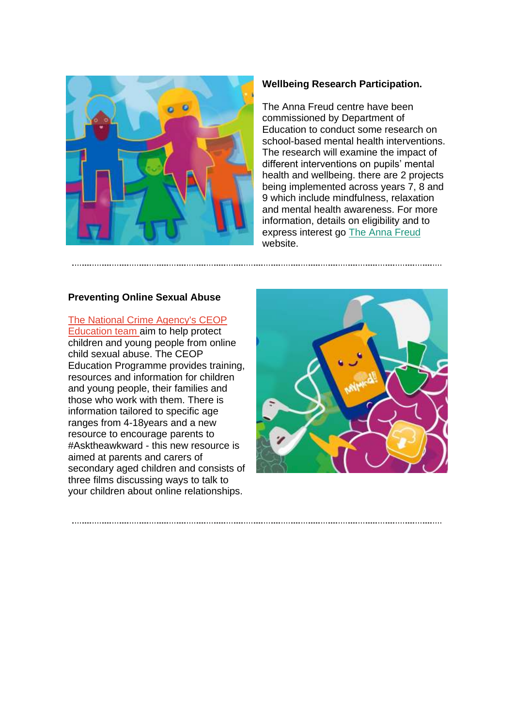

### **Wellbeing Research Participation.**

The Anna Freud centre have been commissioned by Department of Education to conduct some research on school-based mental health interventions. The research will examine the impact of different interventions on pupils' mental health and wellbeing. there are 2 projects being implemented across years 7, 8 and 9 which include mindfulness, relaxation and mental health awareness. For more information, details on eligibility and to express interest go [The Anna Freud](https://ebtk.co.uk/click/UUJrdEh1OERKUE05S3llRFRTQWd6SnltaGRFenFBZlhrWkZBRTY0VDQ0Yittb1loRUxMbVFiSUlPQU9pajRPNXpNU1ZjZVptaHM2WWl6MTNCVXJ0QVZjZ2VZMTlpK2JQMHNJc3I3cG5JcmhzYzJFSnR2TDA4bm52MDhFWnBKVFZqSUFPbkNHdlpwSm9qZkhlMis3Mm4zMzNOeVcveE1DNngwaVFSMXBWeXVrUjhjVGhKZGVxNFdvLzBXTndLTGVQNFE9PQ/UUJVcQ) website.

#### **Preventing Online Sexual Abuse**

# [The National Crime Agency's CEOP](https://ebtk.co.uk/click/UUJrdEh1OERKUE05S3llRFRTQWd6SnltaGRFenFBZlhoSmRISEtNVTdaMzF3OGN3R0xQZ1NmVT0/UUJVcQ)

[Education team a](https://ebtk.co.uk/click/UUJrdEh1OERKUE05S3llRFRTQWd6SnltaGRFenFBZlhoSmRISEtNVTdaMzF3OGN3R0xQZ1NmVT0/UUJVcQ)im to help protect children and young people from online child sexual abuse. The CEOP Education Programme provides training, resources and information for children and young people, their families and those who work with them. There is information tailored to specific age ranges from 4-18years and a new resource to encourage parents to #Asktheawkward - this new resource is aimed at parents and carers of secondary aged children and consists of three films discussing ways to talk to your children about online relationships.